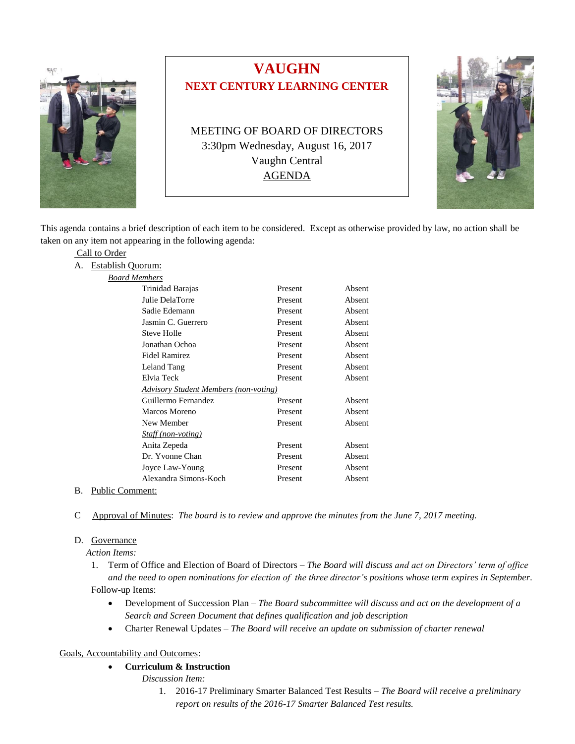

# **VAUGHN NEXT CENTURY LEARNING CENTER**

MEETING OF BOARD OF DIRECTORS 3:30pm Wednesday, August 16, 2017 Vaughn Central AGENDA



This agenda contains a brief description of each item to be considered. Except as otherwise provided by law, no action shall be taken on any item not appearing in the following agenda:

# Call to Order

#### A. Establish Quorum:

| <b>Board Members</b> |  |
|----------------------|--|
|                      |  |

| Trinidad Barajas                             | Present | Absent |
|----------------------------------------------|---------|--------|
| Julie DelaTorre                              | Present | Absent |
| Sadie Edemann                                | Present | Absent |
| Jasmin C. Guerrero                           | Present | Absent |
| Steve Holle                                  | Present | Absent |
| Jonathan Ochoa                               | Present | Absent |
| Fidel Ramirez                                | Present | Absent |
| Leland Tang                                  | Present | Absent |
| Elvia Teck                                   | Present | Absent |
| <b>Advisory Student Members (non-voting)</b> |         |        |
| Guillermo Fernandez                          | Present | Absent |
| Marcos Moreno                                | Present | Absent |
| New Member                                   | Present | Absent |
| <i>Staff (non-voting)</i>                    |         |        |
| Anita Zepeda                                 | Present | Absent |
| Dr. Yvonne Chan                              | Present | Absent |
| Joyce Law-Young                              | Present | Absent |
| Alexandra Simons-Koch                        | Present | Absent |

#### B. Public Comment:

C Approval of Minutes: *The board is to review and approve the minutes from the June 7, 2017 meeting.*

#### D. Governance

 *Action Items:*

- 1. Term of Office and Election of Board of Directors *The Board will discuss and act on Directors' term of office and the need to open nominations for election of the three director's positions whose term expires in September.* Follow-up Items:
	- Development of Succession Plan *The Board subcommittee will discuss and act on the development of a Search and Screen Document that defines qualification and job description*
	- Charter Renewal Updates *The Board will receive an update on submission of charter renewal*

# Goals, Accountability and Outcomes:

# **Curriculum & Instruction**

- *Discussion Item:*
	- 1. 2016-17 Preliminary Smarter Balanced Test Results *The Board will receive a preliminary report on results of the 2016-17 Smarter Balanced Test results.*